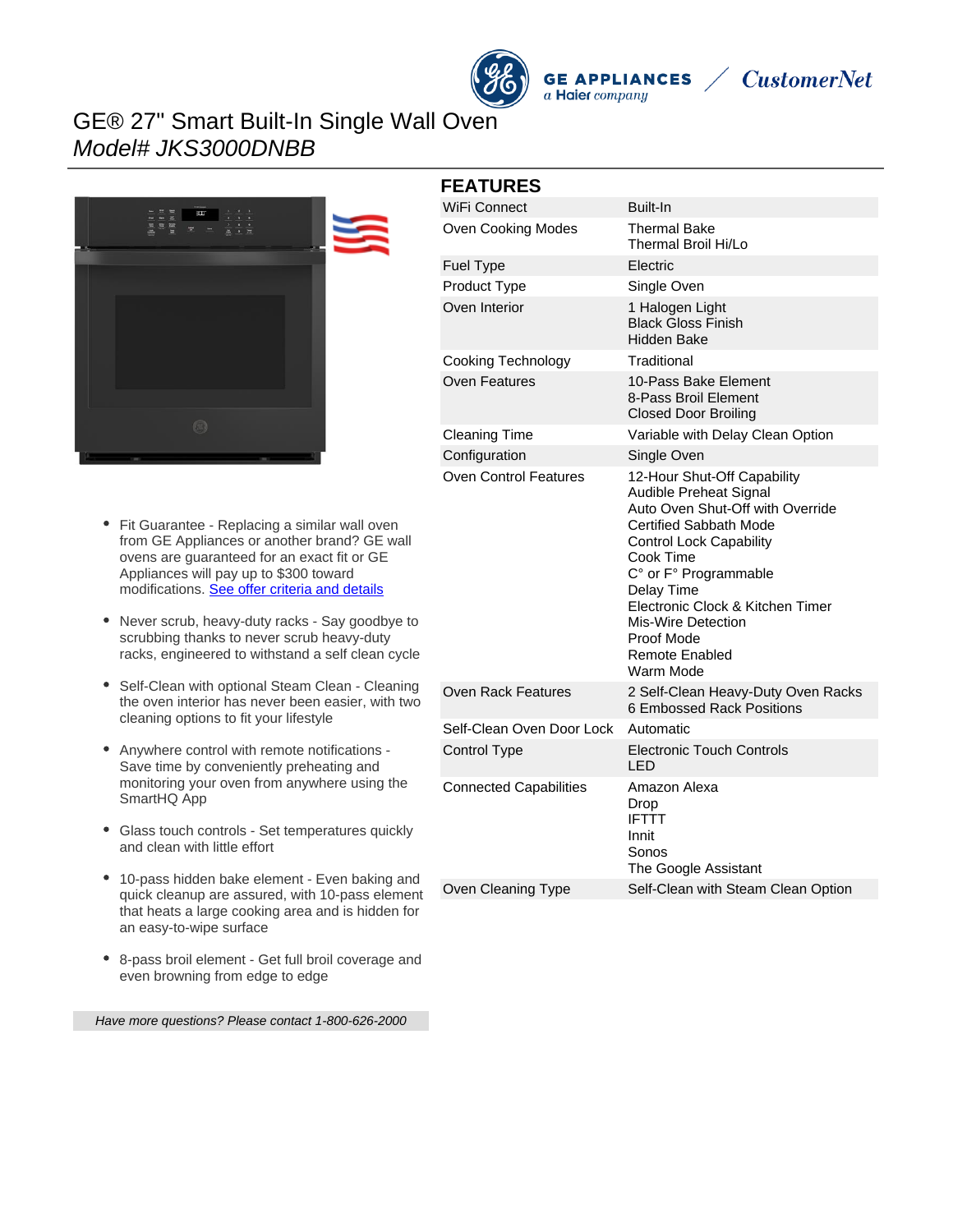

**GE APPLIANCES** a Haier company



## GE® 27" Smart Built-In Single Wall Oven Model# JKS3000DNBB



- Fit Guarantee Replacing a similar wall oven from GE Appliances or another brand? GE wall ovens are guaranteed for an exact fit or GE Appliances will pay up to \$300 toward modifications. [See offer criteria and details](http://www.geappliances.com/ge-fits)
- Never scrub, heavy-duty racks Say goodbye to scrubbing thanks to never scrub heavy-duty racks, engineered to withstand a self clean cycle
- Self-Clean with optional Steam Clean Cleaning the oven interior has never been easier, with two cleaning options to fit your lifestyle
- Anywhere control with remote notifications Save time by conveniently preheating and monitoring your oven from anywhere using the SmartHQ App
- Glass touch controls Set temperatures quickly and clean with little effort
- 10-pass hidden bake element Even baking and quick cleanup are assured, with 10-pass element that heats a large cooking area and is hidden for an easy-to-wipe surface
- 8-pass broil element Get full broil coverage and even browning from edge to edge

Have more questions? Please contact 1-800-626-2000

| <b>FEATURES</b>               |                                                                                                                                                                                                                                                                                                                         |
|-------------------------------|-------------------------------------------------------------------------------------------------------------------------------------------------------------------------------------------------------------------------------------------------------------------------------------------------------------------------|
| WiFi Connect                  | Built-In                                                                                                                                                                                                                                                                                                                |
| Oven Cooking Modes            | <b>Thermal Bake</b><br>Thermal Broil Hi/Lo                                                                                                                                                                                                                                                                              |
| Fuel Type                     | <b>Electric</b>                                                                                                                                                                                                                                                                                                         |
| Product Type                  | Single Oven                                                                                                                                                                                                                                                                                                             |
| Oven Interior                 | 1 Halogen Light<br><b>Black Gloss Finish</b><br>Hidden Bake                                                                                                                                                                                                                                                             |
| Cooking Technology            | Traditional                                                                                                                                                                                                                                                                                                             |
| <b>Oven Features</b>          | 10-Pass Bake Element<br>8-Pass Broil Element<br><b>Closed Door Broiling</b>                                                                                                                                                                                                                                             |
| <b>Cleaning Time</b>          | Variable with Delay Clean Option                                                                                                                                                                                                                                                                                        |
| Configuration                 | Single Oven                                                                                                                                                                                                                                                                                                             |
| <b>Oven Control Features</b>  | 12-Hour Shut-Off Capability<br><b>Audible Preheat Signal</b><br>Auto Oven Shut-Off with Override<br>Certified Sabbath Mode<br><b>Control Lock Capability</b><br>Cook Time<br>C° or F° Programmable<br>Delay Time<br>Electronic Clock & Kitchen Timer<br>Mis-Wire Detection<br>Proof Mode<br>Remote Enabled<br>Warm Mode |
| <b>Oven Rack Features</b>     | 2 Self-Clean Heavy-Duty Oven Racks<br>6 Embossed Rack Positions                                                                                                                                                                                                                                                         |
| Self-Clean Oven Door Lock     | Automatic                                                                                                                                                                                                                                                                                                               |
| <b>Control Type</b>           | <b>Electronic Touch Controls</b><br>I ED                                                                                                                                                                                                                                                                                |
| <b>Connected Capabilities</b> | Amazon Alexa<br>Drop<br><b>IFTTT</b><br>Innit<br>Sonos<br>The Google Assistant                                                                                                                                                                                                                                          |
| Oven Cleaning Type            | Self-Clean with Steam Clean Option                                                                                                                                                                                                                                                                                      |